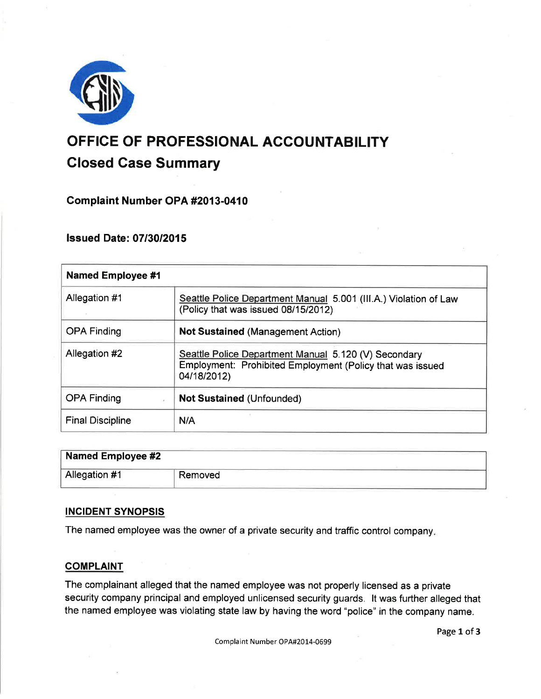

# OFFICE OF PROFESSIONAL ACCOUNTABILITY Closed Case Summary

# Gomplaint Number OPA #2013-0410

# **Issued Date: 07/30/2015**

| <b>Named Employee #1</b> |                                                                                                                                  |
|--------------------------|----------------------------------------------------------------------------------------------------------------------------------|
| Allegation #1            | Seattle Police Department Manual 5.001 (III.A.) Violation of Law<br>(Policy that was issued 08/15/2012)                          |
| <b>OPA Finding</b>       | <b>Not Sustained (Management Action)</b>                                                                                         |
| Allegation #2            | Seattle Police Department Manual 5.120 (V) Secondary<br>Employment: Prohibited Employment (Policy that was issued<br>04/18/2012) |
| <b>OPA Finding</b>       | <b>Not Sustained (Unfounded)</b>                                                                                                 |
| <b>Final Discipline</b>  | N/A                                                                                                                              |

| Named Employee #2 Name |         |
|------------------------|---------|
| Allegation #1          | Removed |

# INCIDENT SYNOPSIS

The named employee was the owner of a private security and traffic control company

## **COMPLAINT**

The complainant alleged that the named employee was not properly licensed as a private security company principal and employed unlicensed security guards. lt was further alleged that the named employee was violating state law by having the word "police" in the company name.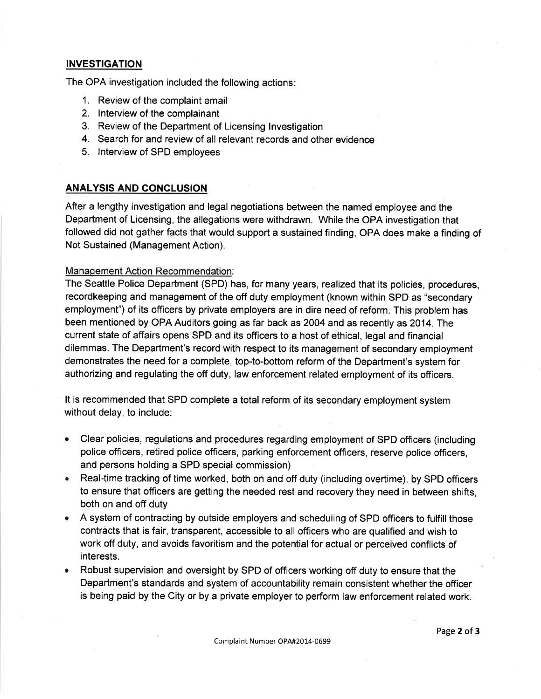## INVESTIGATION

The OPA investigation included the following actions

- 1. Review of the complaint email
- 2. lnterview of the complainant
- 3. Review of the Department of Licensing lnvestigation
- 4. Search for and review of all relevant records and other evidence
- 5. lnterview of SPD employees

### ANALYSIS AND GONCLUSION

After a lengthy investigation and legal negotiations between the named employee and the Department of Licensing, the allegations were withdrawn. While the OPA investigation that followed did not gather facts that would support a sustained finding, OPA does make a finding of Not Sustained (Management Action).

### Manaqement Action Recommendation:

The Seattle Police Department (SPD) has, for many years, realized that its policies, procedures, recordkeeping and management of the off duty employment (known within SPD as "secondary employment") of its officers by private employers are in dire need of reform. This problem has been mentioned by OPA Auditors going as far back as 2004 and as recently as 2014. The current state of affairs opens SPD and its officers to a host of ethical, legal and financial dilemmas. The Department's record with respect to its management of secondary employment demonstrates the need for a complete, top-to-bottom reform of the Department's system for authorizing and regulating the off duty, law enforcement related employment of its officers.

It is recommended that SPD complete a total reform of its secondary employment system without delay, to include:

- a Clear policies, regulations and procedures regarding employment of SPD officers (including police officers, retired police officers, parking enforcement officers, reserve police otficers, and persons holding a SPD special commission)
- **Real-time tracking of time worked, both on and off duty (including overtime), by SPD officers** to ensure that officers are getting the needed rest and recovery they need in between shifts, both on and off duty
- **A system of contracting by outside employers and scheduling of SPD officers to fulfill those** contracts that is fair, transparent, accessible to all officers who are qualified and wish to work off duty, and avoids favoritism and the potential for actual or perceived conflicts of interests.
- Robust supervision and oversight by SPD of officers working off duty to ensure that the Department's standards and system of accountability remain consistent whether the officer is being paid by the City or by a private ernployer to perform law enforcement related work.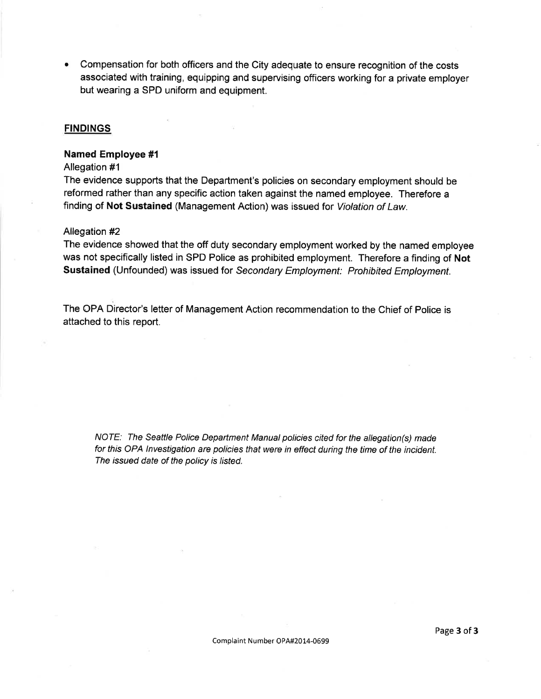Compensation for both officers and the City adequate to ensure recognition of the costs associated with training, equipping and supervising officers working for a private employer but wearing a SPD uniform and equipment.

#### **FINDINGS**

#### Named Employee #l

#### Allegation #1

The evidence supports that the Department's policies on secondary employment should be reformed rather than any specific action taken against the named employee. Therefore a finding of Not Sustained (Management Action) was issued for Violation of Law.

#### Allegation #2

The evidence showed that the off duty secondary employment worked by the named employee was not specifically listed in SPD Police as prohibited employment. Therefore a finding of Not Sustained (Unfounded) was issued for Secondary Employment: Prohibited Employment.

The OPA Director's letter of Management Action recommendation to the Chief of Police is attached to this report.

NOTE: The Seattle Police Department Manual policies cited for the allegation(s) made for this OPA lnvestigation are policies that were in effect during the time of the incident. The issued date of the policy is listed.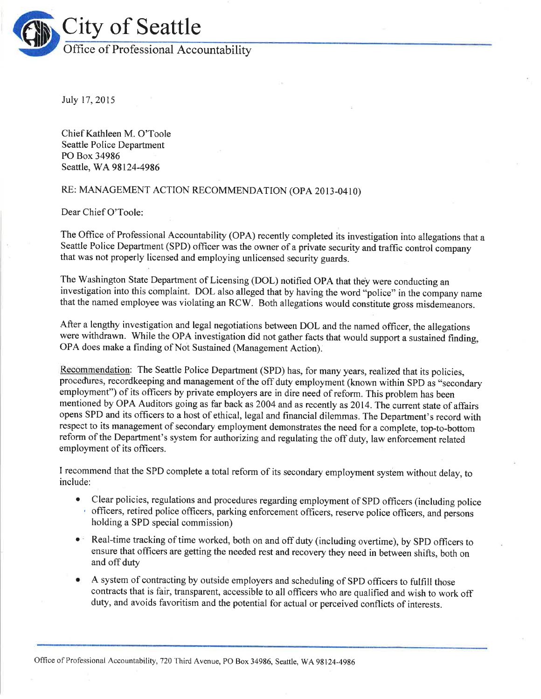

Iuly 17,2015

Chief Kathleen M. O'Toole Seattle Police Department PO Box 34986 Seattle, WA98l24-4986

# RE: MANAGEMENT ACTION RECOMMENDATION (OpA 2013-0410)

Dear Chief O'Toole:

The Office of Professional Accountability (OPA) recently completed its investigation into allegations that <sup>a</sup> Seattle Police Department (SPD) officer was the owner of a private security and traffic control company that was not properly licensed and employing unlicensed security guards.

The Washington State Department of Licensing (DOL) notified OPA that they were conducting an investigation into this complaint. DOL also alleged that by having the word "police" in the company name that the named employee was violating an RCW. Both allegations would constitute gross misdemeanors.

After a lengthy investigation and legal negotiations between DOL and the named officer, the allegations were withdrawn. While the OPA investigation did not gather facts that would support a sustained finding, OPA does make a finding of Not Sustained (Management Action).

Recommendation: The Seattle Police Department (SPD) has, for many years, realized that its policies, procedures, recordkeeping and management of the off duty employment (known within SPD as "secondary employment") of its officers by private employers are in dire need of reform. This problem has been mentioned by OPA Auditors going as far back as 2004 and as recently as 2014. The current state of affairs opens SPD and its officers to a host of ethical, legal and fînancial dilemmas. The Department's record with respect to its management of secondary employment demonstrates the need for a complete, top-to-bottom reform of the Department's system for authorizing and regulating the off duty, law enforcement related employment of its officers.

I recommend that the SPD complete a total reform of its secondary employment system without delay, to include:

- . Clear policies, regulations and procedures regarding employment of SPD officers (including police ' officers, retired police offtcers, parking enforcement officers, reserve police officers, and perions holding a SPD special commission)
- . Real-time tracking of time worked, both on and off duty (including overtime), by SPD officers to ensure that officers are getting the needed rest and recovery they need in between shifts, both on and off duty
- A system of contracting by outside employers and scheduling of SPD officers to fulfill those contracts that is fair, transparent, accessible to all officers who are qualified and wish to work off duty, and avoids favoritism and the potential for actual or perceived conflicts of interests.